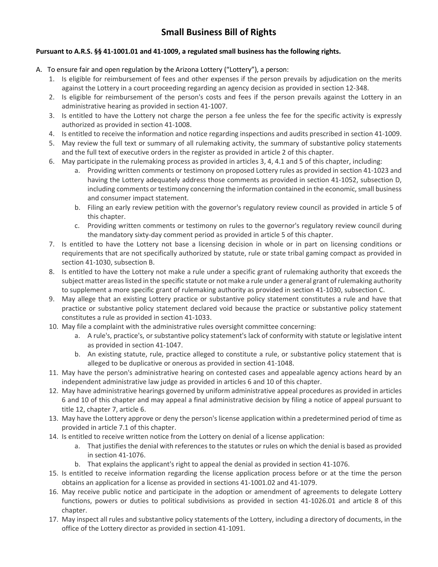## **Pursuant to A.R.S. §§ 41-1001.01 and 41-1009, a regulated small business has the following rights.**

- A.To ensure fair and open regulation by the Arizona Lottery ("Lottery"), a person:
	- 1. Is eligible for reimbursement of fees and other expenses if the person prevails by adjudication on the merits against the Lottery in a court proceeding regarding an agency decision as provided in section 12-348.
	- 2. Is eligible for reimbursement of the person's costs and fees if the person prevails against the Lottery in an administrative hearing as provided in section 41-1007.
	- 3. Is entitled to have the Lottery not charge the person a fee unless the fee for the specific activity is expressly authorized as provided in section 41-1008.
	- 4. Is entitled to receive the information and notice regarding inspections and audits prescribed in section 41-1009.
	- 5. May review the full text or summary of all rulemaking activity, the summary of substantive policy statements and the full text of executive orders in the register as provided in article 2 of this chapter.
	- 6. May participate in the rulemaking process as provided in articles 3, 4, 4.1 and 5 of this chapter, including:
		- a. Providing written comments or testimony on proposed Lottery rules as provided in section 41-1023 and having the Lottery adequately address those comments as provided in section 41-1052, subsection D, including comments or testimony concerning the information contained in the economic, small business and consumer impact statement.
		- b. Filing an early review petition with the governor's regulatory review council as provided in article 5 of this chapter.
		- c. Providing written comments or testimony on rules to the governor's regulatory review council during the mandatory sixty-day comment period as provided in article 5 of this chapter.
	- 7. Is entitled to have the Lottery not base a licensing decision in whole or in part on licensing conditions or requirements that are not specifically authorized by statute, rule or state tribal gaming compact as provided in section 41-1030, subsection B.
	- 8. Is entitled to have the Lottery not make a rule under a specific grant of rulemaking authority that exceeds the subject matter areas listed in the specific statute or not make a rule under a general grant of rulemaking authority to supplement a more specific grant of rulemaking authority as provided in section 41-1030, subsection C.
	- 9. May allege that an existing Lottery practice or substantive policy statement constitutes a rule and have that practice or substantive policy statement declared void because the practice or substantive policy statement constitutes a rule as provided in section 41-1033.
	- 10. May file a complaint with the administrative rules oversight committee concerning:
		- a. A rule's, practice's, or substantive policy statement's lack of conformity with statute or legislative intent as provided in section 41-1047.
		- b. An existing statute, rule, practice alleged to constitute a rule, or substantive policy statement that is alleged to be duplicative or onerous as provided in section 41-1048.
	- 11. May have the person's administrative hearing on contested cases and appealable agency actions heard by an independent administrative law judge as provided in articles 6 and 10 of this chapter.
	- 12. May have administrative hearings governed by uniform administrative appeal procedures as provided in articles 6 and 10 of this chapter and may appeal a final administrative decision by filing a notice of appeal pursuant to title 12, chapter 7, article 6.
	- 13. May have the Lottery approve or deny the person's license application within a predetermined period of time as provided in article 7.1 of this chapter.
	- 14. Is entitled to receive written notice from the Lottery on denial of a license application:
		- a. That justifies the denial with references to the statutes or rules on which the denial is based as provided in section 41-1076.
		- b. That explains the applicant's right to appeal the denial as provided in section 41-1076.
	- 15. Is entitled to receive information regarding the license application process before or at the time the person obtains an application for a license as provided in sections 41-1001.02 and 41-1079.
	- 16. May receive public notice and participate in the adoption or amendment of agreements to delegate Lottery functions, powers or duties to political subdivisions as provided in section 41-1026.01 and article 8 of this chapter.
	- 17. May inspect all rules and substantive policy statements of the Lottery, including a directory of documents, in the office of the Lottery director as provided in section 41-1091.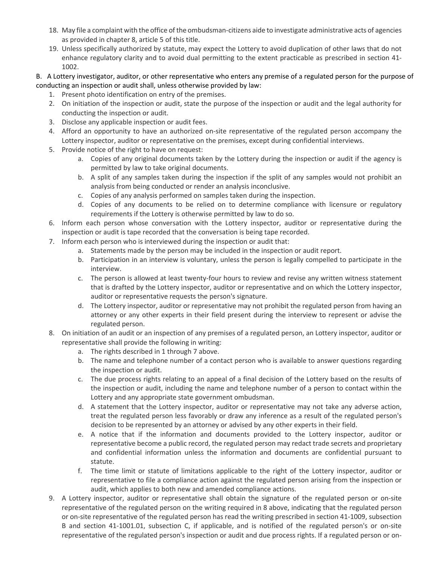- 18. May file a complaint with the office of the ombudsman-citizens aide to investigate administrative acts of agencies as provided in chapter 8, article 5 of this title.
- 19. Unless specifically authorized by statute, may expect the Lottery to avoid duplication of other laws that do not enhance regulatory clarity and to avoid dual permitting to the extent practicable as prescribed in section 41- 1002.

B. A Lottery investigator, auditor, or other representative who enters any premise of a regulated person for the purpose of conducting an inspection or audit shall, unless otherwise provided by law:

- 1. Present photo identification on entry of the premises.
- 2. On initiation of the inspection or audit, state the purpose of the inspection or audit and the legal authority for conducting the inspection or audit.
- 3. Disclose any applicable inspection or audit fees.
- 4. Afford an opportunity to have an authorized on-site representative of the regulated person accompany the Lottery inspector, auditor or representative on the premises, except during confidential interviews.
- 5. Provide notice of the right to have on request:
	- a. Copies of any original documents taken by the Lottery during the inspection or audit if the agency is permitted by law to take original documents.
	- b. A split of any samples taken during the inspection if the split of any samples would not prohibit an analysis from being conducted or render an analysis inconclusive.
	- c. Copies of any analysis performed on samples taken during the inspection.
	- d. Copies of any documents to be relied on to determine compliance with licensure or regulatory requirements if the Lottery is otherwise permitted by law to do so.
- 6. Inform each person whose conversation with the Lottery inspector, auditor or representative during the inspection or audit is tape recorded that the conversation is being tape recorded.
- 7. Inform each person who is interviewed during the inspection or audit that:
	- a. Statements made by the person may be included in the inspection or audit report.
	- b. Participation in an interview is voluntary, unless the person is legally compelled to participate in the interview.
	- c. The person is allowed at least twenty-four hours to review and revise any written witness statement that is drafted by the Lottery inspector, auditor or representative and on which the Lottery inspector, auditor or representative requests the person's signature.
	- d. The Lottery inspector, auditor or representative may not prohibit the regulated person from having an attorney or any other experts in their field present during the interview to represent or advise the regulated person.
- 8. On initiation of an audit or an inspection of any premises of a regulated person, an Lottery inspector, auditor or representative shall provide the following in writing:
	- a. The rights described in 1 through 7 above.
	- b. The name and telephone number of a contact person who is available to answer questions regarding the inspection or audit.
	- c. The due process rights relating to an appeal of a final decision of the Lottery based on the results of the inspection or audit, including the name and telephone number of a person to contact within the Lottery and any appropriate state government ombudsman.
	- d. A statement that the Lottery inspector, auditor or representative may not take any adverse action, treat the regulated person less favorably or draw any inference as a result of the regulated person's decision to be represented by an attorney or advised by any other experts in their field.
	- e. A notice that if the information and documents provided to the Lottery inspector, auditor or representative become a public record, the regulated person may redact trade secrets and proprietary and confidential information unless the information and documents are confidential pursuant to statute.
	- f. The time limit or statute of limitations applicable to the right of the Lottery inspector, auditor or representative to file a compliance action against the regulated person arising from the inspection or audit, which applies to both new and amended compliance actions.
- 9. A Lottery inspector, auditor or representative shall obtain the signature of the regulated person or on-site representative of the regulated person on the writing required in 8 above, indicating that the regulated person or on-site representative of the regulated person has read the writing prescribed in section 41-1009, subsection B and section 41-1001.01, subsection C, if applicable, and is notified of the regulated person's or on-site representative of the regulated person's inspection or audit and due process rights. If a regulated person or on-